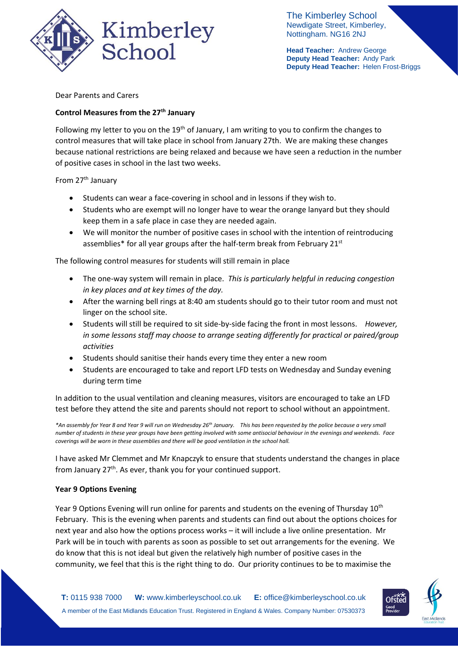

The Kimberley School Newdigate Street, Kimberley, Nottingham. NG16 2NJ

**Head Teacher:** Andrew George **Deputy Head Teacher:** Andy Park **Deputy Head Teacher:** Helen Frost-Briggs

Dear Parents and Carers

## **Control Measures from the 27th January**

Following my letter to you on the  $19<sup>th</sup>$  of January, I am writing to you to confirm the changes to control measures that will take place in school from January 27th. We are making these changes because national restrictions are being relaxed and because we have seen a reduction in the number of positive cases in school in the last two weeks.

From 27<sup>th</sup> January

- Students can wear a face-covering in school and in lessons if they wish to.
- Students who are exempt will no longer have to wear the orange lanyard but they should keep them in a safe place in case they are needed again.
- We will monitor the number of positive cases in school with the intention of reintroducing assemblies\* for all year groups after the half-term break from February 21<sup>st</sup>

The following control measures for students will still remain in place

- The one-way system will remain in place. *This is particularly helpful in reducing congestion in key places and at key times of the day.*
- After the warning bell rings at 8:40 am students should go to their tutor room and must not linger on the school site.
- Students will still be required to sit side-by-side facing the front in most lessons. *However, in some lessons staff may choose to arrange seating differently for practical or paired/group activities*
- Students should sanitise their hands every time they enter a new room
- Students are encouraged to take and report LFD tests on Wednesday and Sunday evening during term time

In addition to the usual ventilation and cleaning measures, visitors are encouraged to take an LFD test before they attend the site and parents should not report to school without an appointment.

*\*An assembly for Year 8 and Year 9 will run on Wednesday 26th January. This has been requested by the police because a very small number of students in these year groups have been getting involved with some antisocial behaviour in the evenings and weekends. Face coverings will be worn in these assemblies and there will be good ventilation in the school hall.* 

I have asked Mr Clemmet and Mr Knapczyk to ensure that students understand the changes in place from January 27<sup>th</sup>. As ever, thank you for your continued support.

## **Year 9 Options Evening**

Year 9 Options Evening will run online for parents and students on the evening of Thursday 10<sup>th</sup> February. This is the evening when parents and students can find out about the options choices for next year and also how the options process works – it will include a live online presentation. Mr Park will be in touch with parents as soon as possible to set out arrangements for the evening. We do know that this is not ideal but given the relatively high number of positive cases in the community, we feel that this is the right thing to do. Our priority continues to be to maximise the